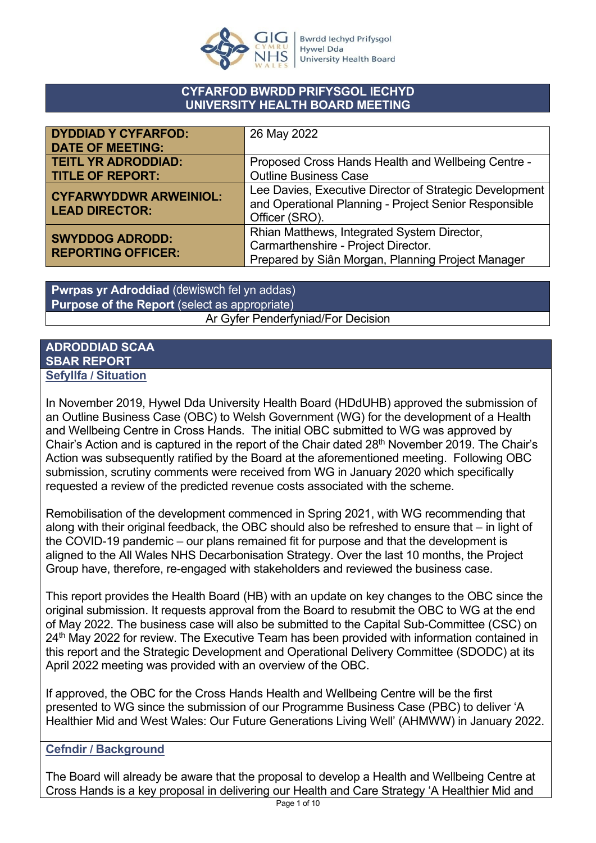

### **CYFARFOD BWRDD PRIFYSGOL IECHYD UNIVERSITY HEALTH BOARD MEETING**

| <b>DYDDIAD Y CYFARFOD:</b>                             | 26 May 2022                                                                                                                             |
|--------------------------------------------------------|-----------------------------------------------------------------------------------------------------------------------------------------|
| <b>DATE OF MEETING:</b>                                |                                                                                                                                         |
| <b>TEITL YR ADRODDIAD:</b>                             | Proposed Cross Hands Health and Wellbeing Centre -                                                                                      |
| <b>TITLE OF REPORT:</b>                                | <b>Outline Business Case</b>                                                                                                            |
| <b>CYFARWYDDWR ARWEINIOL:</b><br><b>LEAD DIRECTOR:</b> | Lee Davies, Executive Director of Strategic Development<br>and Operational Planning - Project Senior Responsible<br>Officer (SRO).      |
| <b>SWYDDOG ADRODD:</b><br><b>REPORTING OFFICER:</b>    | Rhian Matthews, Integrated System Director,<br>Carmarthenshire - Project Director.<br>Prepared by Siân Morgan, Planning Project Manager |

**Pwrpas yr Adroddiad** (dewiswch fel yn addas) **Purpose of the Report** (select as appropriate) Ar Gyfer Penderfyniad/For Decision

### **ADRODDIAD SCAA SBAR REPORT Sefyllfa / Situation**

In November 2019, Hywel Dda University Health Board (HDdUHB) approved the submission of an Outline Business Case (OBC) to Welsh Government (WG) for the development of a Health and Wellbeing Centre in Cross Hands. The initial OBC submitted to WG was approved by Chair's Action and is captured in the report of the Chair dated 28<sup>th</sup> November 2019. The Chair's Action was subsequently ratified by the Board at the aforementioned meeting. Following OBC submission, scrutiny comments were received from WG in January 2020 which specifically requested a review of the predicted revenue costs associated with the scheme.

Remobilisation of the development commenced in Spring 2021, with WG recommending that along with their original feedback, the OBC should also be refreshed to ensure that – in light of the COVID-19 pandemic – our plans remained fit for purpose and that the development is aligned to the All Wales NHS Decarbonisation Strategy. Over the last 10 months, the Project Group have, therefore, re-engaged with stakeholders and reviewed the business case.

This report provides the Health Board (HB) with an update on key changes to the OBC since the original submission. It requests approval from the Board to resubmit the OBC to WG at the end of May 2022. The business case will also be submitted to the Capital Sub-Committee (CSC) on 24<sup>th</sup> May 2022 for review. The Executive Team has been provided with information contained in this report and the Strategic Development and Operational Delivery Committee (SDODC) at its April 2022 meeting was provided with an overview of the OBC.

If approved, the OBC for the Cross Hands Health and Wellbeing Centre will be the first presented to WG since the submission of our Programme Business Case (PBC) to deliver 'A Healthier Mid and West Wales: Our Future Generations Living Well' (AHMWW) in January 2022.

# **Cefndir / Background**

The Board will already be aware that the proposal to develop a Health and Wellbeing Centre at Cross Hands is a key proposal in delivering our Health and Care Strategy 'A Healthier Mid and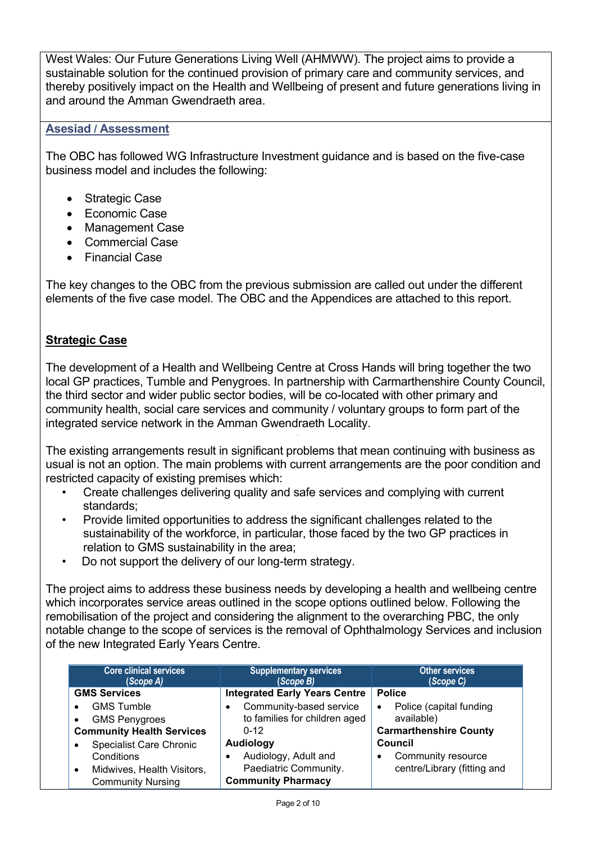West Wales: Our Future Generations Living Well (AHMWW). The project aims to provide a sustainable solution for the continued provision of primary care and community services, and thereby positively impact on the Health and Wellbeing of present and future generations living in and around the Amman Gwendraeth area.

# **Asesiad / Assessment**

The OBC has followed WG Infrastructure Investment guidance and is based on the five-case business model and includes the following:

- Strategic Case
- Economic Case
- Management Case
- Commercial Case
- Financial Case

The key changes to the OBC from the previous submission are called out under the different elements of the five case model. The OBC and the Appendices are attached to this report.

### **Strategic Case**

The development of a Health and Wellbeing Centre at Cross Hands will bring together the two local GP practices, Tumble and Penygroes. In partnership with Carmarthenshire County Council, the third sector and wider public sector bodies, will be co-located with other primary and community health, social care services and community / voluntary groups to form part of the integrated service network in the Amman Gwendraeth Locality.

The existing arrangements result in significant problems that mean continuing with business as usual is not an option. The main problems with current arrangements are the poor condition and restricted capacity of existing premises which:

- Create challenges delivering quality and safe services and complying with current standards;
- Provide limited opportunities to address the significant challenges related to the sustainability of the workforce, in particular, those faced by the two GP practices in relation to GMS sustainability in the area;
- Do not support the delivery of our long-term strategy.

The project aims to address these business needs by developing a health and wellbeing centre which incorporates service areas outlined in the scope options outlined below. Following the remobilisation of the project and considering the alignment to the overarching PBC, the only notable change to the scope of services is the removal of Ophthalmology Services and inclusion of the new Integrated Early Years Centre.

| <b>Core clinical services</b><br>(Scope A)  | <b>Supplementary services</b><br>(Scope B) | <b>Other services</b><br>(Scope C)   |
|---------------------------------------------|--------------------------------------------|--------------------------------------|
| <b>GMS Services</b>                         | <b>Integrated Early Years Centre</b>       | <b>Police</b>                        |
| <b>GMS Tumble</b>                           | Community-based service                    | Police (capital funding<br>$\bullet$ |
| <b>GMS Penygroes</b>                        | to families for children aged              | available)                           |
| <b>Community Health Services</b>            | $0 - 12$                                   | <b>Carmarthenshire County</b>        |
| <b>Specialist Care Chronic</b><br>$\bullet$ | <b>Audiology</b>                           | Council                              |
| Conditions                                  | Audiology, Adult and                       | Community resource                   |
| Midwives, Health Visitors,<br>$\bullet$     | Paediatric Community.                      | centre/Library (fitting and          |
| <b>Community Nursing</b>                    | <b>Community Pharmacy</b>                  |                                      |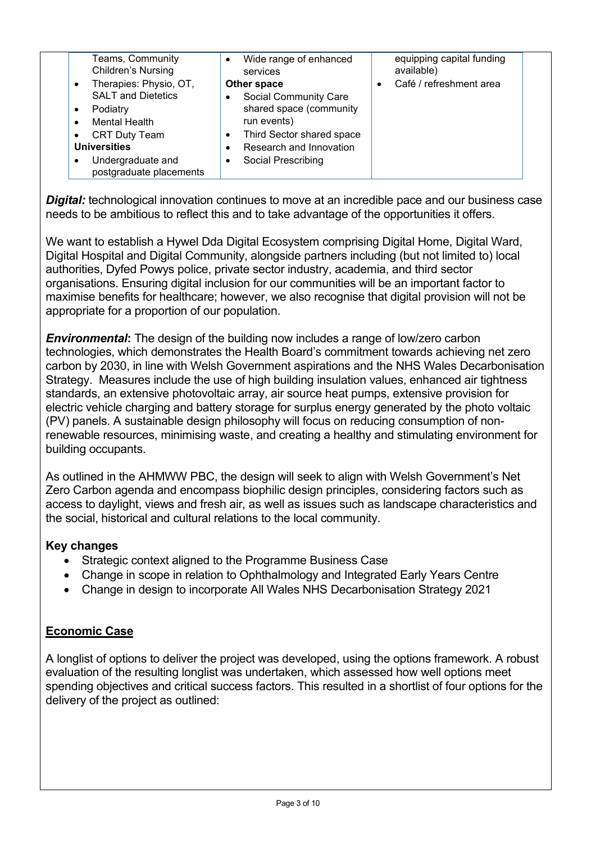| Teams, Community<br><b>Children's Nursing</b>                                                                                                                             | Wide range of enhanced<br>services                                                                                                                   | equipping capital funding<br>available) |  |
|---------------------------------------------------------------------------------------------------------------------------------------------------------------------------|------------------------------------------------------------------------------------------------------------------------------------------------------|-----------------------------------------|--|
| Therapies: Physio, OT,<br>$\bullet$                                                                                                                                       | Other space                                                                                                                                          | Café / refreshment area                 |  |
| <b>SALT and Dietetics</b><br>Podiatry<br>$\bullet$<br><b>Mental Health</b><br><b>CRT Duty Team</b><br><b>Universities</b><br>Undergraduate and<br>postgraduate placements | <b>Social Community Care</b><br>shared space (community<br>run events)<br>Third Sector shared space<br>Research and Innovation<br>Social Prescribing |                                         |  |

**Digital:** technological innovation continues to move at an incredible pace and our business case needs to be ambitious to reflect this and to take advantage of the opportunities it offers.

We want to establish a Hywel Dda Digital Ecosystem comprising Digital Home, Digital Ward, Digital Hospital and Digital Community, alongside partners including (but not limited to) local authorities, Dyfed Powys police, private sector industry, academia, and third sector organisations. Ensuring digital inclusion for our communities will be an important factor to maximise benefits for healthcare; however, we also recognise that digital provision will not be appropriate for a proportion of our population.

*Environmental***:** The design of the building now includes a range of low/zero carbon technologies, which demonstrates the Health Board's commitment towards achieving net zero carbon by 2030, in line with Welsh Government aspirations and the NHS Wales Decarbonisation Strategy. Measures include the use of high building insulation values, enhanced air tightness standards, an extensive photovoltaic array, air source heat pumps, extensive provision for electric vehicle charging and battery storage for surplus energy generated by the photo voltaic (PV) panels. A sustainable design philosophy will focus on reducing consumption of nonrenewable resources, minimising waste, and creating a healthy and stimulating environment for building occupants.

As outlined in the AHMWW PBC, the design will seek to align with Welsh Government's Net Zero Carbon agenda and encompass biophilic design principles, considering factors such as access to daylight, views and fresh air, as well as issues such as landscape characteristics and the social, historical and cultural relations to the local community.

# **Key changes**

- Strategic context aligned to the Programme Business Case
- Change in scope in relation to Ophthalmology and Integrated Early Years Centre
- Change in design to incorporate All Wales NHS Decarbonisation Strategy 2021

# **Economic Case**

A longlist of options to deliver the project was developed, using the options framework. A robust evaluation of the resulting longlist was undertaken, which assessed how well options meet spending objectives and critical success factors. This resulted in a shortlist of four options for the delivery of the project as outlined: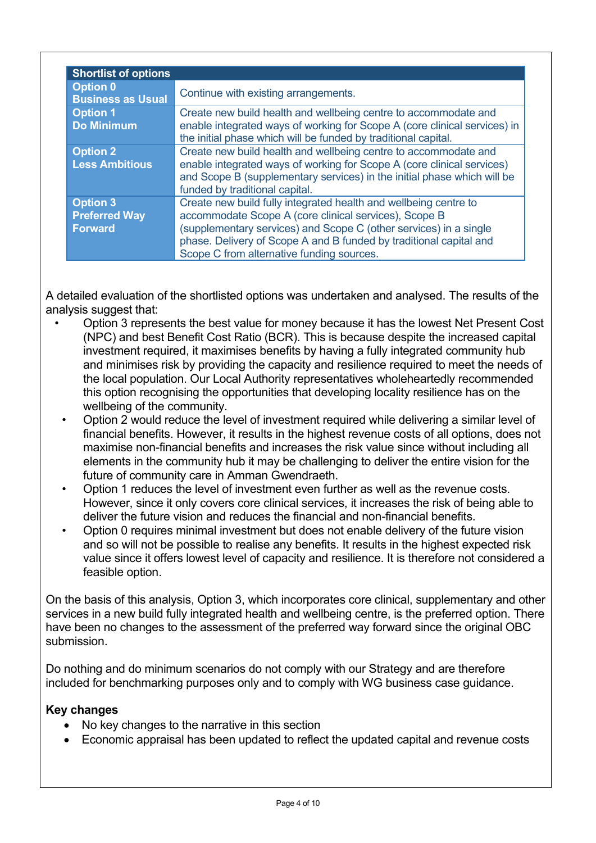| <b>Shortlist of options</b>                        |                                                                                                                                                                                                                                                                                                                   |
|----------------------------------------------------|-------------------------------------------------------------------------------------------------------------------------------------------------------------------------------------------------------------------------------------------------------------------------------------------------------------------|
| <b>Option 0</b><br><b>Business as Usual</b>        | Continue with existing arrangements.                                                                                                                                                                                                                                                                              |
| <b>Option 1</b><br><b>Do Minimum</b>               | Create new build health and wellbeing centre to accommodate and<br>enable integrated ways of working for Scope A (core clinical services) in<br>the initial phase which will be funded by traditional capital.                                                                                                    |
| <b>Option 2</b><br><b>Less Ambitious</b>           | Create new build health and wellbeing centre to accommodate and<br>enable integrated ways of working for Scope A (core clinical services)<br>and Scope B (supplementary services) in the initial phase which will be<br>funded by traditional capital.                                                            |
| <b>Option 3</b><br><b>Preferred Way</b><br>Forward | Create new build fully integrated health and wellbeing centre to<br>accommodate Scope A (core clinical services), Scope B<br>(supplementary services) and Scope C (other services) in a single<br>phase. Delivery of Scope A and B funded by traditional capital and<br>Scope C from alternative funding sources. |

A detailed evaluation of the shortlisted options was undertaken and analysed. The results of the analysis suggest that:

- Option 3 represents the best value for money because it has the lowest Net Present Cost (NPC) and best Benefit Cost Ratio (BCR). This is because despite the increased capital investment required, it maximises benefits by having a fully integrated community hub and minimises risk by providing the capacity and resilience required to meet the needs of the local population. Our Local Authority representatives wholeheartedly recommended this option recognising the opportunities that developing locality resilience has on the wellbeing of the community.
	- Option 2 would reduce the level of investment required while delivering a similar level of financial benefits. However, it results in the highest revenue costs of all options, does not maximise non-financial benefits and increases the risk value since without including all elements in the community hub it may be challenging to deliver the entire vision for the future of community care in Amman Gwendraeth.
	- Option 1 reduces the level of investment even further as well as the revenue costs. However, since it only covers core clinical services, it increases the risk of being able to deliver the future vision and reduces the financial and non-financial benefits.
	- Option 0 requires minimal investment but does not enable delivery of the future vision and so will not be possible to realise any benefits. It results in the highest expected risk value since it offers lowest level of capacity and resilience. It is therefore not considered a feasible option.

On the basis of this analysis, Option 3, which incorporates core clinical, supplementary and other services in a new build fully integrated health and wellbeing centre, is the preferred option. There have been no changes to the assessment of the preferred way forward since the original OBC submission.

Do nothing and do minimum scenarios do not comply with our Strategy and are therefore included for benchmarking purposes only and to comply with WG business case guidance.

# **Key changes**

- No key changes to the narrative in this section
- Economic appraisal has been updated to reflect the updated capital and revenue costs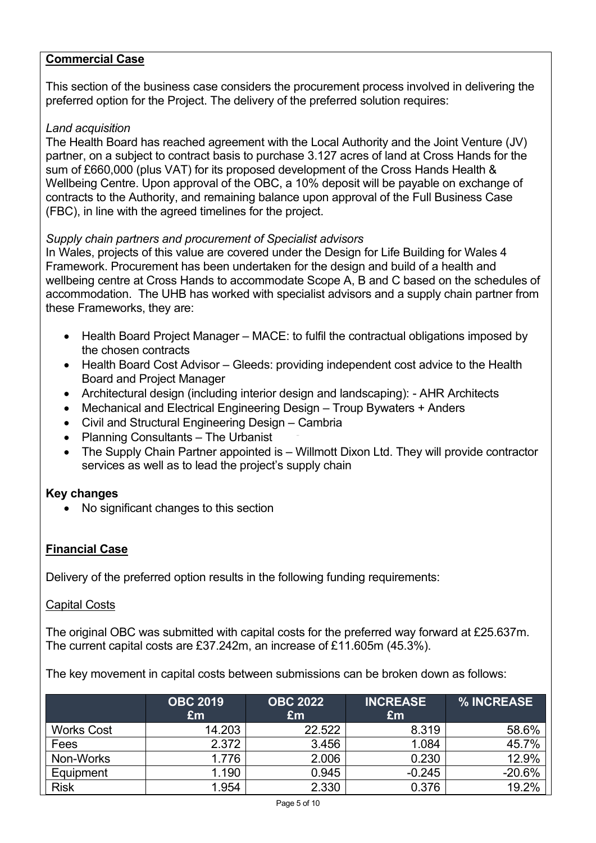### **Commercial Case**

This section of the business case considers the procurement process involved in delivering the preferred option for the Project. The delivery of the preferred solution requires:

#### *Land acquisition*

The Health Board has reached agreement with the Local Authority and the Joint Venture (JV) partner, on a subject to contract basis to purchase 3.127 acres of land at Cross Hands for the sum of £660,000 (plus VAT) for its proposed development of the Cross Hands Health & Wellbeing Centre. Upon approval of the OBC, a 10% deposit will be payable on exchange of contracts to the Authority, and remaining balance upon approval of the Full Business Case (FBC), in line with the agreed timelines for the project.

### *Supply chain partners and procurement of Specialist advisors*

In Wales, projects of this value are covered under the Design for Life Building for Wales 4 Framework. Procurement has been undertaken for the design and build of a health and wellbeing centre at Cross Hands to accommodate Scope A, B and C based on the schedules of accommodation. The UHB has worked with specialist advisors and a supply chain partner from these Frameworks, they are:

- Health Board Project Manager MACE: to fulfil the contractual obligations imposed by the chosen contracts
- Health Board Cost Advisor Gleeds: providing independent cost advice to the Health Board and Project Manager
- Architectural design (including interior design and landscaping): AHR Architects
- Mechanical and Electrical Engineering Design Troup Bywaters + Anders
- Civil and Structural Engineering Design Cambria
- Planning Consultants The Urbanist
- The Supply Chain Partner appointed is Willmott Dixon Ltd. They will provide contractor services as well as to lead the project's supply chain

### **Key changes**

• No significant changes to this section

### **Financial Case**

Delivery of the preferred option results in the following funding requirements:

#### Capital Costs

The original OBC was submitted with capital costs for the preferred way forward at £25.637m. The current capital costs are £37.242m, an increase of £11.605m (45.3%).

The key movement in capital costs between submissions can be broken down as follows:

|                   | <b>OBC 2019</b><br>Em | <b>OBC 2022</b><br>Em | <b>INCREASE</b><br>£m | % INCREASE |
|-------------------|-----------------------|-----------------------|-----------------------|------------|
| <b>Works Cost</b> | 14.203                | 22.522                | 8.319                 | 58.6%      |
| Fees              | 2.372                 | 3.456                 | 1.084                 | 45.7%      |
| Non-Works         | 1.776                 | 2.006                 | 0.230                 | 12.9%      |
| Equipment         | 1.190                 | 0.945                 | $-0.245$              | $-20.6%$   |
| <b>Risk</b>       | 1.954                 | 2.330                 | 0.376                 | 19.2%      |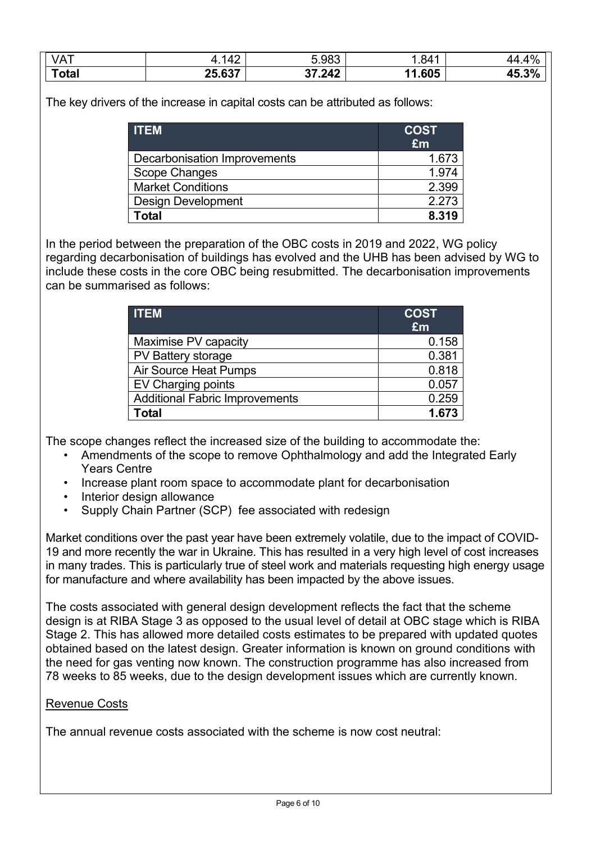| VA <sub>1</sub> | $\Delta^c$<br>-<br>− | 5.983  | .841       | 10/         |
|-----------------|----------------------|--------|------------|-------------|
| Total           | 25.637               | 37.242 | .605<br>44 | 20/<br>ע.טד |

The key drivers of the increase in capital costs can be attributed as follows:

| <b>ITEM</b>                  | <b>COST</b><br>£m |
|------------------------------|-------------------|
| Decarbonisation Improvements | 1.673             |
| Scope Changes                | 1.974             |
| <b>Market Conditions</b>     | 2.399             |
| <b>Design Development</b>    | 2.273             |
| Гоtal                        | 8.319             |

In the period between the preparation of the OBC costs in 2019 and 2022, WG policy regarding decarbonisation of buildings has evolved and the UHB has been advised by WG to include these costs in the core OBC being resubmitted. The decarbonisation improvements can be summarised as follows:

| <b>ITEM</b>                           | <b>COST</b><br>£m |
|---------------------------------------|-------------------|
| Maximise PV capacity                  | 0.158             |
| PV Battery storage                    | 0.381             |
| <b>Air Source Heat Pumps</b>          | 0.818             |
| <b>EV Charging points</b>             | 0.057             |
| <b>Additional Fabric Improvements</b> | 0.259             |
| Total                                 | 1.673             |

The scope changes reflect the increased size of the building to accommodate the:

- Amendments of the scope to remove Ophthalmology and add the Integrated Early Years Centre
- Increase plant room space to accommodate plant for decarbonisation
- Interior design allowance
- Supply Chain Partner (SCP) fee associated with redesign

Market conditions over the past year have been extremely volatile, due to the impact of COVID-19 and more recently the war in Ukraine. This has resulted in a very high level of cost increases in many trades. This is particularly true of steel work and materials requesting high energy usage for manufacture and where availability has been impacted by the above issues.

The costs associated with general design development reflects the fact that the scheme design is at RIBA Stage 3 as opposed to the usual level of detail at OBC stage which is RIBA Stage 2. This has allowed more detailed costs estimates to be prepared with updated quotes obtained based on the latest design. Greater information is known on ground conditions with the need for gas venting now known. The construction programme has also increased from 78 weeks to 85 weeks, due to the design development issues which are currently known.

### Revenue Costs

The annual revenue costs associated with the scheme is now cost neutral: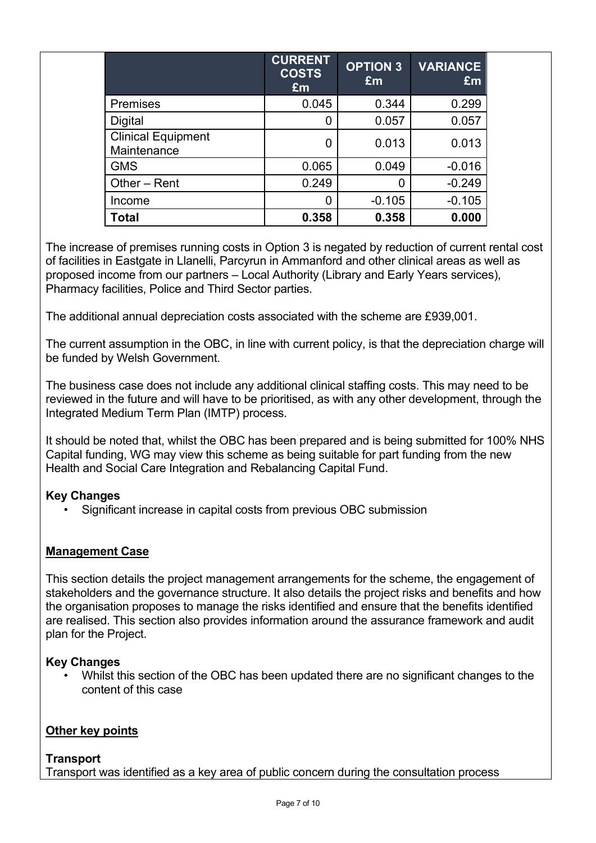|                                          | <b>CURRENT</b><br><b>COSTS</b><br>£m | <b>OPTION 3</b><br>Em | <b>VARIANCE</b><br>£m |  |
|------------------------------------------|--------------------------------------|-----------------------|-----------------------|--|
| <b>Premises</b>                          | 0.045                                | 0.344                 | 0.299                 |  |
| Digital                                  | O                                    | 0.057                 | 0.057                 |  |
| <b>Clinical Equipment</b><br>Maintenance | 0                                    | 0.013                 | 0.013                 |  |
| <b>GMS</b>                               | 0.065                                | 0.049                 | $-0.016$              |  |
| Other - Rent                             | 0.249                                | 0                     | $-0.249$              |  |
| Income                                   | O                                    | $-0.105$              | $-0.105$              |  |
| Total                                    | 0.358                                | 0.358                 | 0.000                 |  |

The increase of premises running costs in Option 3 is negated by reduction of current rental cost of facilities in Eastgate in Llanelli, Parcyrun in Ammanford and other clinical areas as well as proposed income from our partners – Local Authority (Library and Early Years services), Pharmacy facilities, Police and Third Sector parties.

The additional annual depreciation costs associated with the scheme are £939,001.

The current assumption in the OBC, in line with current policy, is that the depreciation charge will be funded by Welsh Government.

The business case does not include any additional clinical staffing costs. This may need to be reviewed in the future and will have to be prioritised, as with any other development, through the Integrated Medium Term Plan (IMTP) process.

It should be noted that, whilst the OBC has been prepared and is being submitted for 100% NHS Capital funding, WG may view this scheme as being suitable for part funding from the new Health and Social Care Integration and Rebalancing Capital Fund.

# **Key Changes**

Significant increase in capital costs from previous OBC submission

# **Management Case**

This section details the project management arrangements for the scheme, the engagement of stakeholders and the governance structure. It also details the project risks and benefits and how the organisation proposes to manage the risks identified and ensure that the benefits identified are realised. This section also provides information around the assurance framework and audit plan for the Project.

# **Key Changes**

• Whilst this section of the OBC has been updated there are no significant changes to the content of this case

### **Other key points**

### **Transport**

Transport was identified as a key area of public concern during the consultation process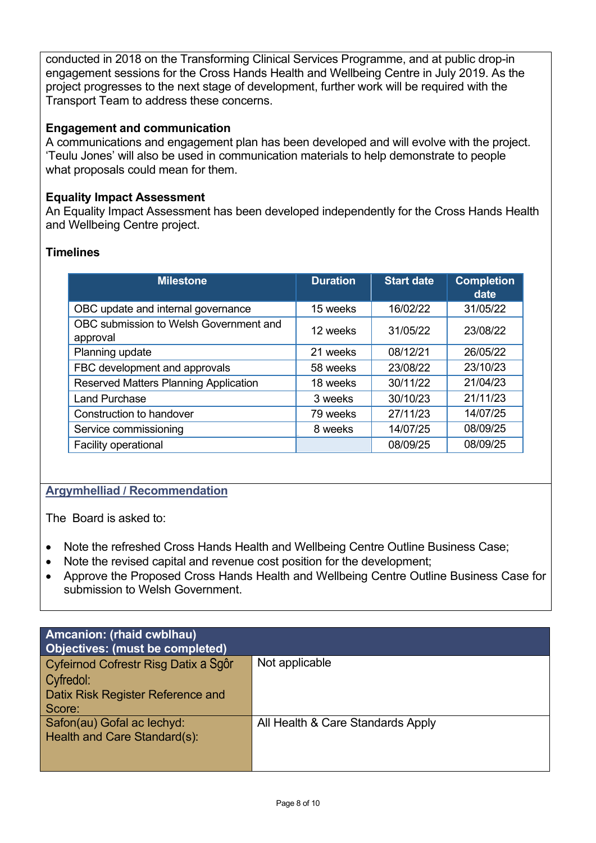conducted in 2018 on the Transforming Clinical Services Programme, and at public drop-in engagement sessions for the Cross Hands Health and Wellbeing Centre in July 2019. As the project progresses to the next stage of development, further work will be required with the Transport Team to address these concerns.

### **Engagement and communication**

A communications and engagement plan has been developed and will evolve with the project. 'Teulu Jones' will also be used in communication materials to help demonstrate to people what proposals could mean for them.

### **Equality Impact Assessment**

An Equality Impact Assessment has been developed independently for the Cross Hands Health and Wellbeing Centre project.

### **Timelines**

| <b>Milestone</b>                                   | <b>Duration</b> | <b>Start date</b> | <b>Completion</b><br>date |
|----------------------------------------------------|-----------------|-------------------|---------------------------|
| OBC update and internal governance                 | 15 weeks        | 16/02/22          | 31/05/22                  |
| OBC submission to Welsh Government and<br>approval | 12 weeks        | 31/05/22          | 23/08/22                  |
| Planning update                                    | 21 weeks        | 08/12/21          | 26/05/22                  |
| FBC development and approvals                      | 58 weeks        | 23/08/22          | 23/10/23                  |
| Reserved Matters Planning Application              | 18 weeks        | 30/11/22          | 21/04/23                  |
| <b>Land Purchase</b>                               | 3 weeks         | 30/10/23          | 21/11/23                  |
| Construction to handover                           | 79 weeks        | 27/11/23          | 14/07/25                  |
| Service commissioning                              | 8 weeks         | 14/07/25          | 08/09/25                  |
| Facility operational                               |                 | 08/09/25          | 08/09/25                  |

# **Argymhelliad / Recommendation**

The Board is asked to:

- Note the refreshed Cross Hands Health and Wellbeing Centre Outline Business Case;
- Note the revised capital and revenue cost position for the development;
- Approve the Proposed Cross Hands Health and Wellbeing Centre Outline Business Case for submission to Welsh Government.

| Amcanion: (rhaid cwblhau)<br>Objectives: (must be completed)                                     |                                   |
|--------------------------------------------------------------------------------------------------|-----------------------------------|
| Cyfeirnod Cofrestr Risg Datix a Sgôr<br>Cyfredol:<br>Datix Risk Register Reference and<br>Score: | Not applicable                    |
| Safon(au) Gofal ac lechyd:<br>Health and Care Standard(s):                                       | All Health & Care Standards Apply |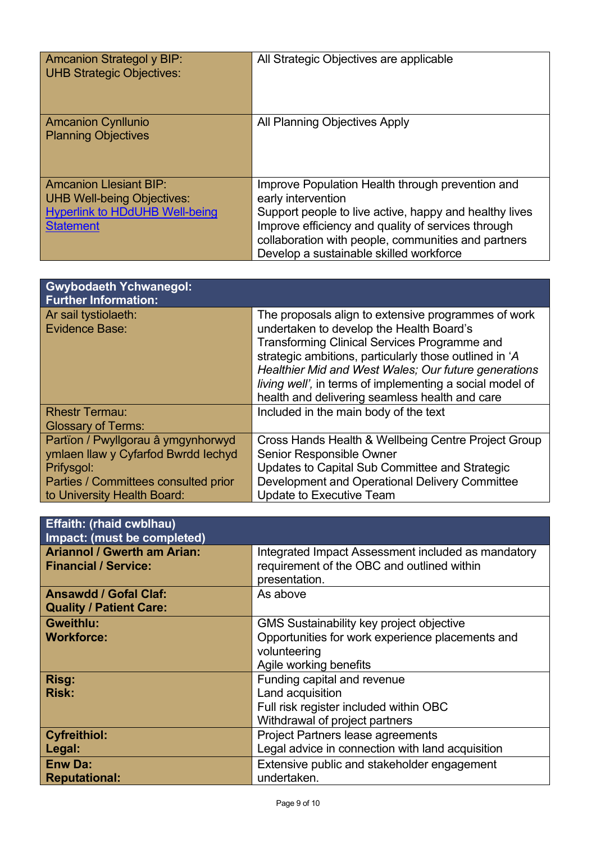| <b>Amcanion Strategol y BIP:</b><br><b>UHB Strategic Objectives:</b>                                                            | All Strategic Objectives are applicable                                                                                                                                                                                                                                                  |
|---------------------------------------------------------------------------------------------------------------------------------|------------------------------------------------------------------------------------------------------------------------------------------------------------------------------------------------------------------------------------------------------------------------------------------|
| <b>Amcanion Cynllunio</b><br><b>Planning Objectives</b>                                                                         | All Planning Objectives Apply                                                                                                                                                                                                                                                            |
| <b>Amcanion Llesiant BIP:</b><br><b>UHB Well-being Objectives:</b><br><b>Hyperlink to HDdUHB Well-being</b><br><b>Statement</b> | Improve Population Health through prevention and<br>early intervention<br>Support people to live active, happy and healthy lives<br>Improve efficiency and quality of services through<br>collaboration with people, communities and partners<br>Develop a sustainable skilled workforce |

| <b>Gwybodaeth Ychwanegol:</b><br><b>Further Information:</b> |                                                                                                 |
|--------------------------------------------------------------|-------------------------------------------------------------------------------------------------|
| Ar sail tystiolaeth:<br><b>Evidence Base:</b>                | The proposals align to extensive programmes of work<br>undertaken to develop the Health Board's |
|                                                              | <b>Transforming Clinical Services Programme and</b>                                             |
|                                                              | strategic ambitions, particularly those outlined in 'A                                          |
|                                                              | Healthier Mid and West Wales; Our future generations                                            |
|                                                              | living well', in terms of implementing a social model of                                        |
|                                                              | health and delivering seamless health and care                                                  |
| <b>Rhestr Termau:</b>                                        | Included in the main body of the text                                                           |
| <b>Glossary of Terms:</b>                                    |                                                                                                 |
| Partïon / Pwyllgorau â ymgynhorwyd                           | Cross Hands Health & Wellbeing Centre Project Group                                             |
| ymlaen llaw y Cyfarfod Bwrdd lechyd                          | Senior Responsible Owner                                                                        |
| Prifysgol:                                                   | Updates to Capital Sub Committee and Strategic                                                  |
| Parties / Committees consulted prior                         | Development and Operational Delivery Committee                                                  |
| to University Health Board:                                  | <b>Update to Executive Team</b>                                                                 |

| <b>Effaith: (rhaid cwblhau)</b><br>Impact: (must be completed)    |                                                                                                  |
|-------------------------------------------------------------------|--------------------------------------------------------------------------------------------------|
| <b>Ariannol / Gwerth am Arian:</b><br><b>Financial / Service:</b> | Integrated Impact Assessment included as mandatory<br>requirement of the OBC and outlined within |
|                                                                   | presentation.                                                                                    |
| <b>Ansawdd / Gofal Claf:</b>                                      | As above                                                                                         |
| <b>Quality / Patient Care:</b>                                    |                                                                                                  |
| <b>Gweithlu:</b>                                                  | <b>GMS Sustainability key project objective</b>                                                  |
| <b>Workforce:</b>                                                 | Opportunities for work experience placements and                                                 |
|                                                                   | volunteering                                                                                     |
|                                                                   | Agile working benefits                                                                           |
| Risg:                                                             | Funding capital and revenue                                                                      |
| <b>Risk:</b>                                                      | Land acquisition                                                                                 |
|                                                                   | Full risk register included within OBC                                                           |
|                                                                   | Withdrawal of project partners                                                                   |
| <b>Cyfreithiol:</b>                                               | Project Partners lease agreements                                                                |
| Legal:                                                            | Legal advice in connection with land acquisition                                                 |
| <b>Enw Da:</b>                                                    | Extensive public and stakeholder engagement                                                      |
| <b>Reputational:</b>                                              | undertaken.                                                                                      |